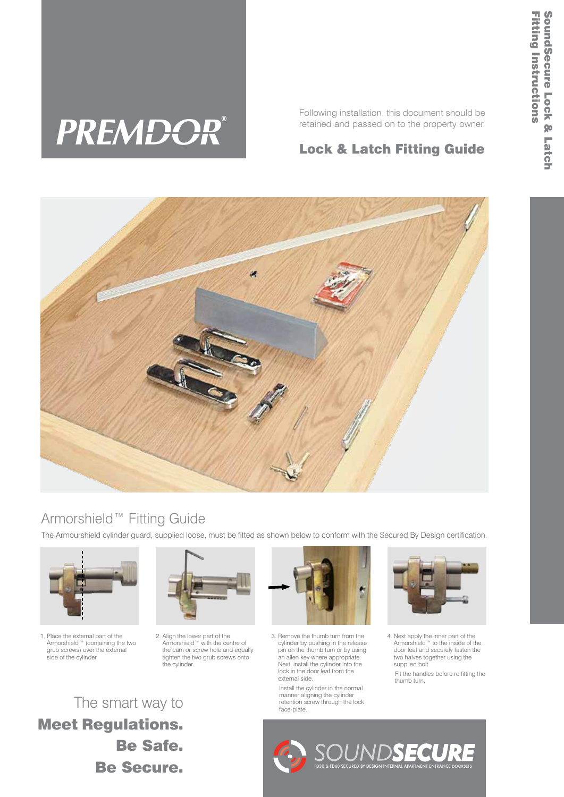# **PREMDOR®**

Following installation, this document should be retained and passed on to the property owner.

## Lock & Latch Fitting Guide



## Armorshield™ Fitting Guide

The Armourshield cylinder guard, supplied loose, must be fitted as shown below to conform with the Secured By Design certification.



1. Place the external part of the Armorshield™ (containing the two grub screws) over the external side of the cylinder.



2. Align the lower part of the Armorshield™ with the centre of the cam or screw hole and equally tighten the two grub screws onto the cylinder.



3. Remove the thumb turn from the cylinder by pushing in the release pin on the thumb turn or by using an allen key where appropriate. Next, install the cylinder into the lock in the door leaf from the external side.

 Install the cylinder in the normal manner aligning the cylinder retention screw through the lock face-plate.



4. Next apply the inner part of the Armorshield™ to the inside of the door leaf and securely fasten the two halves together using the supplied bolt.

 Fit the handles before re fitting the thumb turn.

The smart way to Meet Regulations. Be Safe. Be Secure.